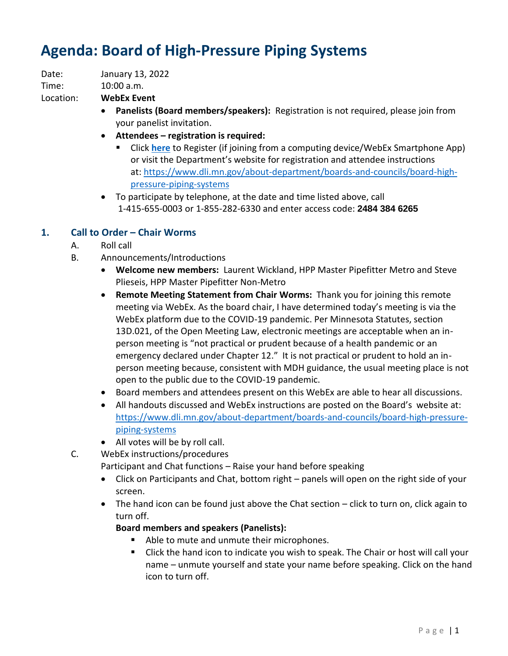# **Agenda: Board of High-Pressure Piping Systems**

Date: January 13, 2022

Time: 10:00 a.m.

Location: **WebEx Event**

- **Panelists (Board members/speakers):** Registration is not required, please join from your panelist invitation.
- **Attendees – registration is required:**
	- Click **[here](https://minnesota.webex.com/minnesota/onstage/g.php?MTID=effcef5b28a4d4a58b054c1b84a829cea)** to Register (if joining from a computing device/WebEx Smartphone App) or visit the Department's website for registration and attendee instructions at: [https://www.dli.mn.gov/about-department/boards-and-councils/board-high](https://www.dli.mn.gov/about-department/boards-and-councils/board-high-pressure-piping-systems)[pressure-piping-systems](https://www.dli.mn.gov/about-department/boards-and-councils/board-high-pressure-piping-systems)
- To participate by telephone, at the date and time listed above, call 1-415-655-0003 or 1-855-282-6330 and enter access code: **2484 384 6265**

# **1. Call to Order – Chair Worms**

- A. Roll call
- B. Announcements/Introductions
	- **Welcome new members:** Laurent Wickland, HPP Master Pipefitter Metro and Steve Plieseis, HPP Master Pipefitter Non-Metro
	- **Remote Meeting Statement from Chair Worms:** Thank you for joining this remote meeting via WebEx. As the board chair, I have determined today's meeting is via the WebEx platform due to the COVID-19 pandemic. Per Minnesota Statutes, section 13D.021, of the Open Meeting Law, electronic meetings are acceptable when an inperson meeting is "not practical or prudent because of a health pandemic or an emergency declared under Chapter 12." It is not practical or prudent to hold an inperson meeting because, consistent with MDH guidance, the usual meeting place is not open to the public due to the COVID-19 pandemic.
	- Board members and attendees present on this WebEx are able to hear all discussions.
	- All handouts discussed and WebEx instructions are posted on the Board's website at: [https://www.dli.mn.gov/about-department/boards-and-councils/board-high-pressure](https://www.dli.mn.gov/about-department/boards-and-councils/board-high-pressure-piping-systems)[piping-systems](https://www.dli.mn.gov/about-department/boards-and-councils/board-high-pressure-piping-systems)
	- All votes will be by roll call.
- C. WebEx instructions/procedures

Participant and Chat functions – Raise your hand before speaking

- Click on Participants and Chat, bottom right panels will open on the right side of your screen.
- The hand icon can be found just above the Chat section click to turn on, click again to turn off.

## **Board members and speakers (Panelists):**

- Able to mute and unmute their microphones.
- Click the hand icon to indicate you wish to speak. The Chair or host will call your name – unmute yourself and state your name before speaking. Click on the hand icon to turn off.